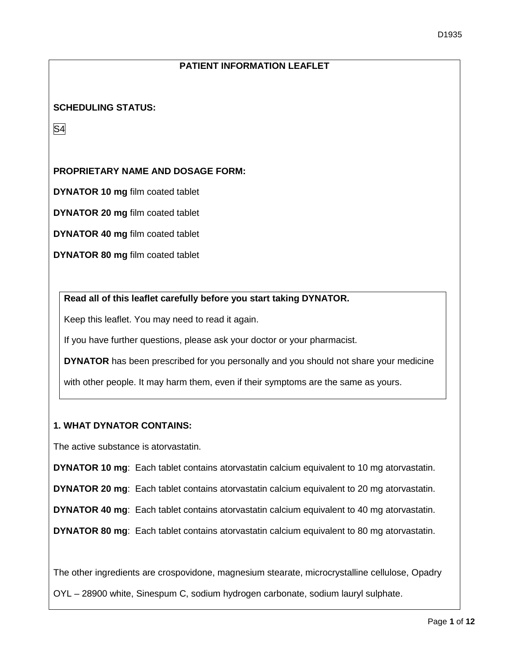# **PATIENT INFORMATION LEAFLET**

### **SCHEDULING STATUS:**

S4

### **PROPRIETARY NAME AND DOSAGE FORM:**

**DYNATOR 10 mg** film coated tablet

**DYNATOR 20 mg** film coated tablet

**DYNATOR 40 mg** film coated tablet

**DYNATOR 80 mg** film coated tablet

### **Read all of this leaflet carefully before you start taking DYNATOR.**

Keep this leaflet. You may need to read it again.

If you have further questions, please ask your doctor or your pharmacist.

**DYNATOR** has been prescribed for you personally and you should not share your medicine

with other people. It may harm them, even if their symptoms are the same as yours.

### **1. WHAT DYNATOR CONTAINS:**

The active substance is atorvastatin.

**DYNATOR 10 mg**: Each tablet contains atorvastatin calcium equivalent to 10 mg atorvastatin.

**DYNATOR 20 mg**: Each tablet contains atorvastatin calcium equivalent to 20 mg atorvastatin.

**DYNATOR 40 mg**: Each tablet contains atorvastatin calcium equivalent to 40 mg atorvastatin.

**DYNATOR 80 mg**: Each tablet contains atorvastatin calcium equivalent to 80 mg atorvastatin.

The other ingredients are crospovidone, magnesium stearate, microcrystalline cellulose, Opadry

OYL – 28900 white, Sinespum C, sodium hydrogen carbonate, sodium lauryl sulphate.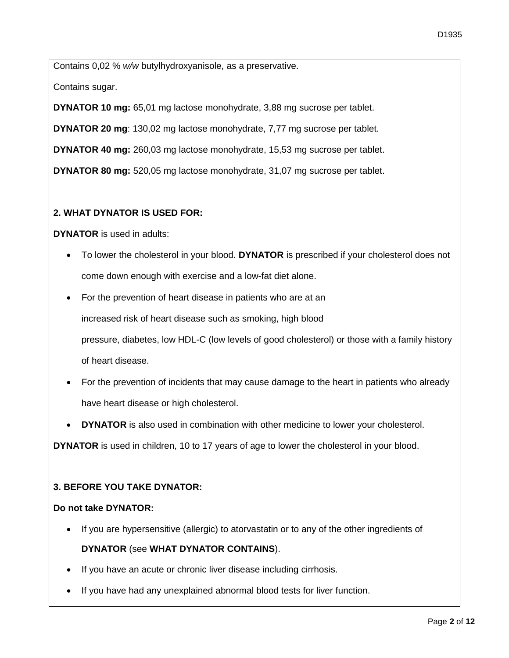Contains 0,02 % *w/w* butylhydroxyanisole, as a preservative.

Contains sugar.

**DYNATOR 10 mg:** 65,01 mg lactose monohydrate, 3,88 mg sucrose per tablet.

**DYNATOR 20 mg**: 130,02 mg lactose monohydrate, 7,77 mg sucrose per tablet.

**DYNATOR 40 mg:** 260,03 mg lactose monohydrate, 15,53 mg sucrose per tablet.

**DYNATOR 80 mg:** 520,05 mg lactose monohydrate, 31,07 mg sucrose per tablet.

## **2. WHAT DYNATOR IS USED FOR:**

**DYNATOR** is used in adults:

- To lower the cholesterol in your blood. **DYNATOR** is prescribed if your cholesterol does not come down enough with exercise and a low-fat diet alone.
- For the prevention of heart disease in patients who are at an increased risk of heart disease such as smoking, high blood pressure, diabetes, low HDL-C (low levels of good cholesterol) or those with a family history of heart disease.
- For the prevention of incidents that may cause damage to the heart in patients who already have heart disease or high cholesterol.
- **DYNATOR** is also used in combination with other medicine to lower your cholesterol.

**DYNATOR** is used in children, 10 to 17 years of age to lower the cholesterol in your blood.

## **3. BEFORE YOU TAKE DYNATOR:**

### **Do not take DYNATOR:**

- If you are hypersensitive (allergic) to atorvastatin or to any of the other ingredients of **DYNATOR** (see **WHAT DYNATOR CONTAINS**).
- If you have an acute or chronic liver disease including cirrhosis.
- If you have had any unexplained abnormal blood tests for liver function.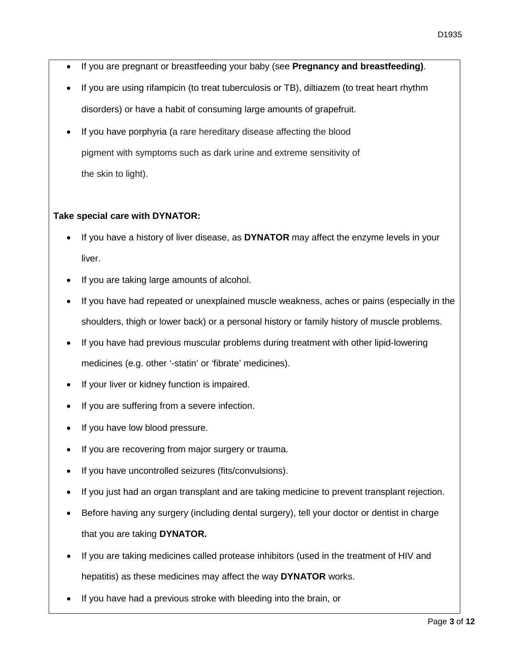- If you are pregnant or breastfeeding your baby (see **Pregnancy and breastfeeding)**.
- If you are using rifampicin (to treat tuberculosis or TB), diltiazem (to treat heart rhythm disorders) or have a habit of consuming large amounts of grapefruit.
- If you have porphyria (a rare hereditary disease affecting the blood pigment with symptoms such as dark urine and extreme sensitivity of the skin to light).

## **Take special care with DYNATOR:**

- If you have a history of liver disease, as **DYNATOR** may affect the enzyme levels in your liver.
- If you are taking large amounts of alcohol.
- If you have had repeated or unexplained muscle weakness, aches or pains (especially in the shoulders, thigh or lower back) or a personal history or family history of muscle problems.
- If you have had previous muscular problems during treatment with other lipid-lowering medicines (e.g. other '-statin' or 'fibrate' medicines).
- If your liver or kidney function is impaired.
- If you are suffering from a severe infection.
- If you have low blood pressure.
- If you are recovering from major surgery or trauma.
- If you have uncontrolled seizures (fits/convulsions).
- If you just had an organ transplant and are taking medicine to prevent transplant rejection.
- Before having any surgery (including dental surgery), tell your doctor or dentist in charge that you are taking **DYNATOR.**
- If you are taking medicines called protease inhibitors (used in the treatment of HIV and hepatitis) as these medicines may affect the way **DYNATOR** works.
- If you have had a previous stroke with bleeding into the brain, or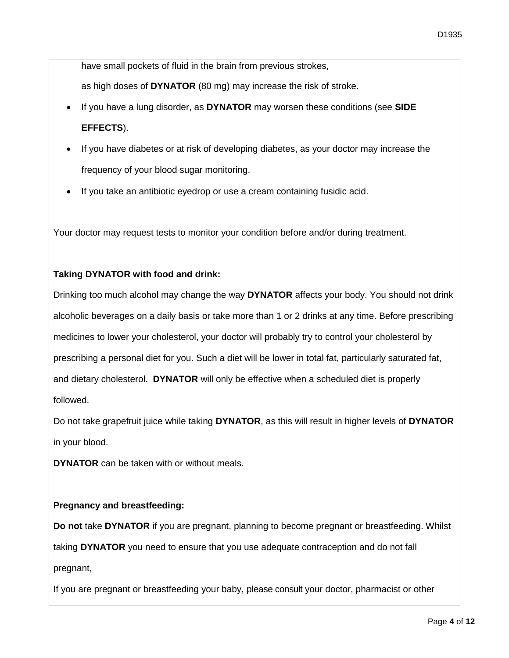have small pockets of fluid in the brain from previous strokes,

as high doses of **DYNATOR** (80 mg) may increase the risk of stroke.

- If you have a lung disorder, as **DYNATOR** may worsen these conditions (see **SIDE EFFECTS**).
- If you have diabetes or at risk of developing diabetes, as your doctor may increase the frequency of your blood sugar monitoring.
- If you take an antibiotic eyedrop or use a cream containing fusidic acid.

Your doctor may request tests to monitor your condition before and/or during treatment.

# **Taking DYNATOR with food and drink:**

Drinking too much alcohol may change the way **DYNATOR** affects your body. You should not drink alcoholic beverages on a daily basis or take more than 1 or 2 drinks at any time. Before prescribing medicines to lower your cholesterol, your doctor will probably try to control your cholesterol by prescribing a personal diet for you. Such a diet will be lower in total fat, particularly saturated fat, and dietary cholesterol. **DYNATOR** will only be effective when a scheduled diet is properly followed.

Do not take grapefruit juice while taking **DYNATOR**, as this will result in higher levels of **DYNATOR** in your blood.

**DYNATOR** can be taken with or without meals.

# **Pregnancy and breastfeeding:**

**Do not** take **DYNATOR** if you are pregnant, planning to become pregnant or breastfeeding. Whilst taking **DYNATOR** you need to ensure that you use adequate contraception and do not fall pregnant,

If you are pregnant or breastfeeding your baby, please consult your doctor, pharmacist or other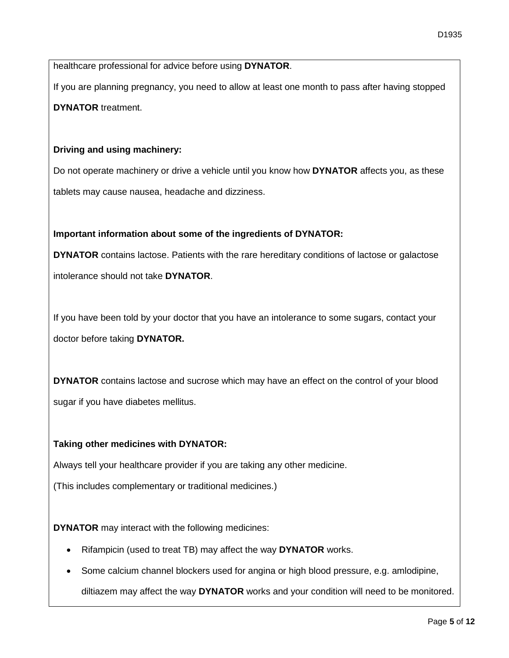healthcare professional for advice before using **DYNATOR**.

If you are planning pregnancy, you need to allow at least one month to pass after having stopped **DYNATOR** treatment.

## **Driving and using machinery:**

Do not operate machinery or drive a vehicle until you know how **DYNATOR** affects you, as these tablets may cause nausea, headache and dizziness.

## **Important information about some of the ingredients of DYNATOR:**

**DYNATOR** contains lactose. Patients with the rare hereditary conditions of lactose or galactose intolerance should not take **DYNATOR**.

If you have been told by your doctor that you have an intolerance to some sugars, contact your doctor before taking **DYNATOR.** 

**DYNATOR** contains lactose and sucrose which may have an effect on the control of your blood sugar if you have diabetes mellitus.

## **Taking other medicines with DYNATOR:**

Always tell your healthcare provider if you are taking any other medicine.

(This includes complementary or traditional medicines.)

**DYNATOR** may interact with the following medicines:

- Rifampicin (used to treat TB) may affect the way **DYNATOR** works.
- Some calcium channel blockers used for angina or high blood pressure, e.g. amlodipine,

diltiazem may affect the way **DYNATOR** works and your condition will need to be monitored.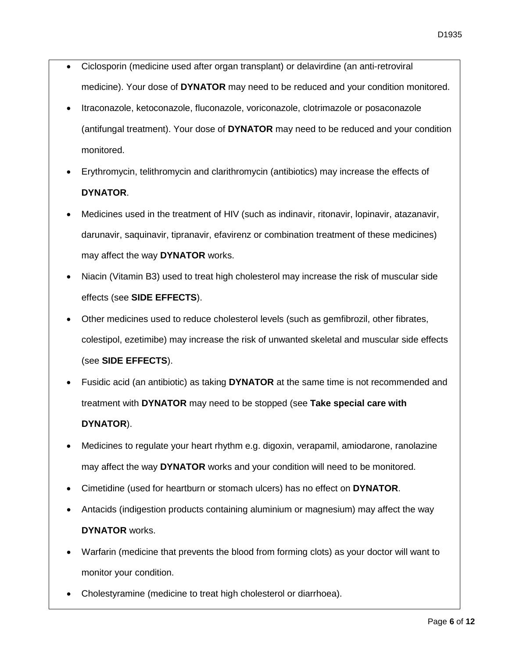- Ciclosporin (medicine used after organ transplant) or delavirdine (an anti-retroviral medicine). Your dose of **DYNATOR** may need to be reduced and your condition monitored.
- Itraconazole, ketoconazole, fluconazole, voriconazole, clotrimazole or posaconazole (antifungal treatment). Your dose of **DYNATOR** may need to be reduced and your condition monitored.
- Erythromycin, telithromycin and clarithromycin (antibiotics) may increase the effects of **DYNATOR**.
- Medicines used in the treatment of HIV (such as indinavir, ritonavir, lopinavir, atazanavir, darunavir, saquinavir, tipranavir, efavirenz or combination treatment of these medicines) may affect the way **DYNATOR** works.
- Niacin (Vitamin B3) used to treat high cholesterol may increase the risk of muscular side effects (see **SIDE EFFECTS**).
- Other medicines used to reduce cholesterol levels (such as gemfibrozil, other fibrates, colestipol, ezetimibe) may increase the risk of unwanted skeletal and muscular side effects (see **SIDE EFFECTS**).
- Fusidic acid (an antibiotic) as taking **DYNATOR** at the same time is not recommended and treatment with **DYNATOR** may need to be stopped (see **Take special care with DYNATOR**).
- Medicines to regulate your heart rhythm e.g. digoxin, verapamil, amiodarone, ranolazine may affect the way **DYNATOR** works and your condition will need to be monitored.
- Cimetidine (used for heartburn or stomach ulcers) has no effect on **DYNATOR**.
- Antacids (indigestion products containing aluminium or magnesium) may affect the way **DYNATOR** works.
- Warfarin (medicine that prevents the blood from forming clots) as your doctor will want to monitor your condition.
- Cholestyramine (medicine to treat high cholesterol or diarrhoea).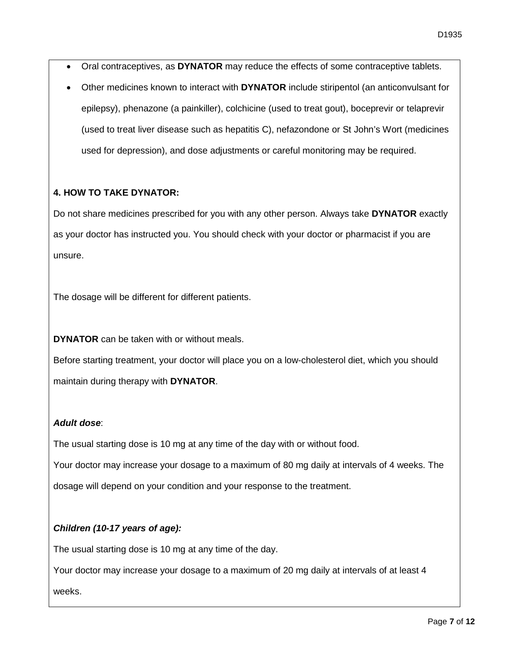- Oral contraceptives, as **DYNATOR** may reduce the effects of some contraceptive tablets.
- Other medicines known to interact with **DYNATOR** include stiripentol (an anticonvulsant for epilepsy), phenazone (a painkiller), colchicine (used to treat gout), boceprevir or telaprevir (used to treat liver disease such as hepatitis C), nefazondone or St John's Wort (medicines used for depression), and dose adjustments or careful monitoring may be required.

## **4. HOW TO TAKE DYNATOR:**

Do not share medicines prescribed for you with any other person. Always take **DYNATOR** exactly as your doctor has instructed you. You should check with your doctor or pharmacist if you are unsure.

The dosage will be different for different patients.

**DYNATOR** can be taken with or without meals.

Before starting treatment, your doctor will place you on a low-cholesterol diet, which you should maintain during therapy with **DYNATOR**.

## *Adult dose*:

The usual starting dose is 10 mg at any time of the day with or without food.

Your doctor may increase your dosage to a maximum of 80 mg daily at intervals of 4 weeks. The dosage will depend on your condition and your response to the treatment.

# *Children (10-17 years of age):*

The usual starting dose is 10 mg at any time of the day.

Your doctor may increase your dosage to a maximum of 20 mg daily at intervals of at least 4

weeks.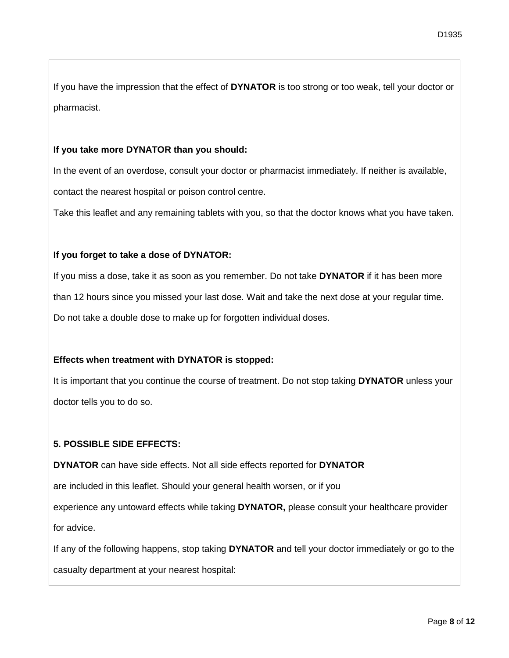If you have the impression that the effect of **DYNATOR** is too strong or too weak, tell your doctor or pharmacist.

#### **If you take more DYNATOR than you should:**

In the event of an overdose, consult your doctor or pharmacist immediately. If neither is available, contact the nearest hospital or poison control centre.

Take this leaflet and any remaining tablets with you, so that the doctor knows what you have taken.

### **If you forget to take a dose of DYNATOR:**

If you miss a dose, take it as soon as you remember. Do not take **DYNATOR** if it has been more than 12 hours since you missed your last dose. Wait and take the next dose at your regular time. Do not take a double dose to make up for forgotten individual doses.

### **Effects when treatment with DYNATOR is stopped:**

It is important that you continue the course of treatment. Do not stop taking **DYNATOR** unless your doctor tells you to do so.

## **5. POSSIBLE SIDE EFFECTS:**

**DYNATOR** can have side effects. Not all side effects reported for **DYNATOR**

are included in this leaflet. Should your general health worsen, or if you

experience any untoward effects while taking **DYNATOR,** please consult your healthcare provider for advice.

If any of the following happens, stop taking **DYNATOR** and tell your doctor immediately or go to the

casualty department at your nearest hospital: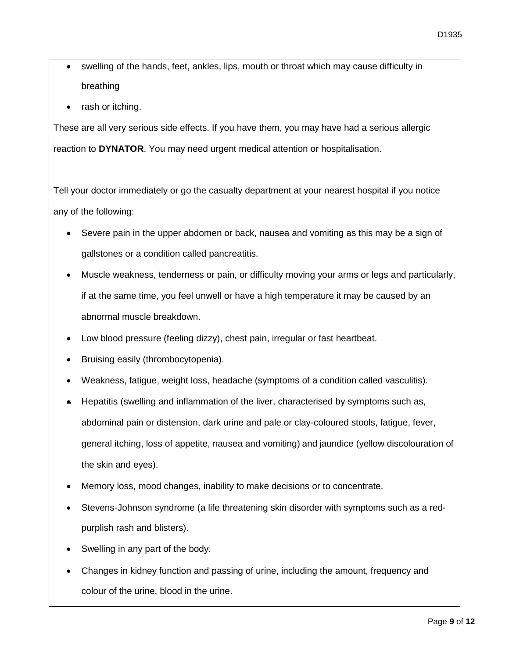- swelling of the hands, feet, ankles, lips, mouth or throat which may cause difficulty in breathing
- rash or itching.

These are all very serious side effects. If you have them, you may have had a serious allergic reaction to **DYNATOR**. You may need urgent medical attention or hospitalisation.

Tell your doctor immediately or go the casualty department at your nearest hospital if you notice any of the following:

- Severe pain in the upper abdomen or back, nausea and vomiting as this may be a sign of gallstones or a condition called pancreatitis.
- Muscle weakness, tenderness or pain, or difficulty moving your arms or legs and particularly, if at the same time, you feel unwell or have a high temperature it may be caused by an abnormal muscle breakdown.
- Low blood pressure (feeling dizzy), chest pain, irregular or fast heartbeat.
- Bruising easily (thrombocytopenia).
- Weakness, fatigue, weight loss, headache (symptoms of a condition called vasculitis).
- Hepatitis (swelling and inflammation of the liver, characterised by symptoms such as, [abdominal pain](http://www.ncbi.nlm.nih.gov/pubmedhealth/n/pmh_adam/A003120/) or [distension,](http://www.ncbi.nlm.nih.gov/pubmedhealth/n/pmh_adam/A003122/) [dark urine](http://www.ncbi.nlm.nih.gov/pubmedhealth/n/pmh_adam/A003138/) and pale or [clay-coloured stools,](http://www.ncbi.nlm.nih.gov/pubmedhealth/n/pmh_adam/A003129/) [fatigue,](http://www.ncbi.nlm.nih.gov/pubmedhealth/n/pmh_adam/A003088/) fever, general itching, [loss of appetite,](http://www.ncbi.nlm.nih.gov/pubmedhealth/n/pmh_adam/A003121/) [nausea and vomiting\)](http://www.ncbi.nlm.nih.gov/pubmedhealth/n/pmh_adam/A003117/) and jaundice (yellow discolouration of the skin and eyes).
- Memory loss, mood changes, inability to make decisions or to concentrate.
- Stevens-Johnson syndrome (a life threatening skin disorder with symptoms such as a redpurplish rash and blisters).
- Swelling in any part of the body.
- Changes in kidney function and passing of urine, including the amount, frequency and colour of the urine, blood in the urine.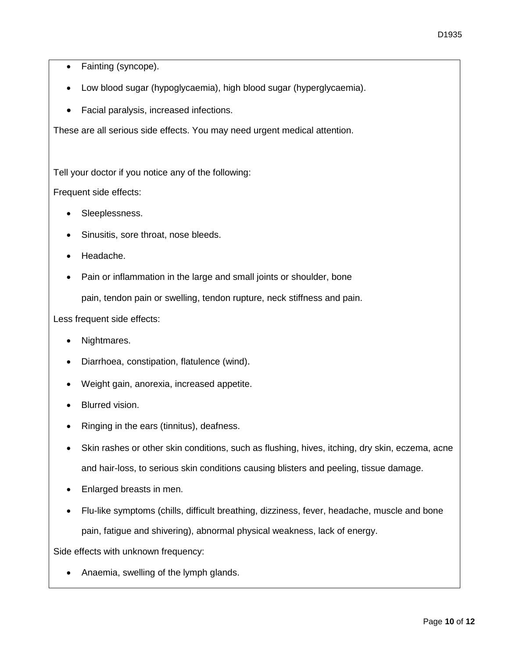- Fainting (syncope).
- Low blood sugar (hypoglycaemia), high blood sugar (hyperglycaemia).
- Facial paralysis, increased infections.

These are all serious side effects. You may need urgent medical attention.

Tell your doctor if you notice any of the following:

Frequent side effects:

- Sleeplessness.
- Sinusitis, sore throat, nose bleeds.
- Headache.
- Pain or inflammation in the large and small joints or shoulder, bone

pain, tendon pain or swelling, tendon rupture, neck stiffness and pain.

Less frequent side effects:

- Nightmares.
- Diarrhoea, constipation, flatulence (wind).
- Weight gain, anorexia, increased appetite.
- Blurred vision.
- Ringing in the ears (tinnitus), deafness.
- Skin rashes or other skin conditions, such as flushing, hives, itching, dry skin, eczema, acne and hair-loss, to serious skin conditions causing blisters and peeling, tissue damage.
- Enlarged breasts in men.
- Flu-like symptoms (chills, difficult breathing, dizziness, fever, headache, muscle and bone pain, fatigue and shivering), abnormal physical weakness, lack of energy.

Side effects with unknown frequency:

• Anaemia, swelling of the lymph glands.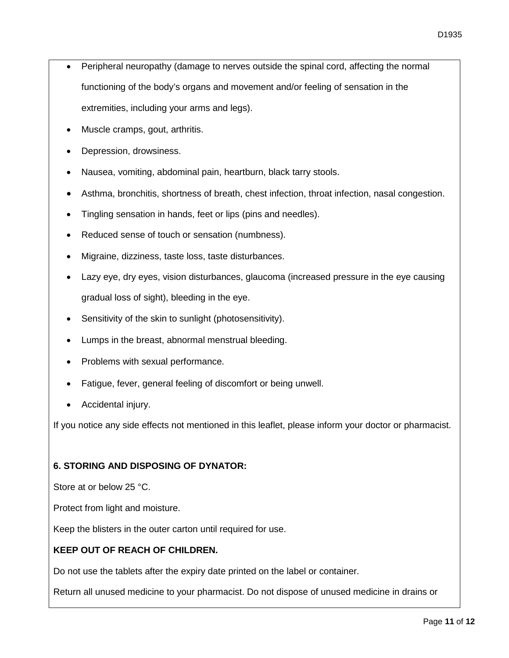- Peripheral neuropathy (damage to nerves outside the spinal cord, affecting the normal functioning of the body's organs and movement and/or feeling of sensation in the extremities, including your arms and legs).
- Muscle cramps, gout, arthritis.
- Depression, drowsiness.
- Nausea, vomiting, abdominal pain, heartburn, black tarry stools.
- Asthma, bronchitis, shortness of breath, chest infection, throat infection, nasal congestion.
- Tingling sensation in hands, feet or lips (pins and needles).
- Reduced sense of touch or sensation (numbness).
- Migraine, dizziness, taste loss, taste disturbances.
- Lazy eye, dry eyes, vision disturbances, glaucoma (increased pressure in the eye causing gradual loss of sight), bleeding in the eye.
- Sensitivity of the skin to sunlight (photosensitivity).
- Lumps in the breast, abnormal menstrual bleeding.
- Problems with sexual performance.
- Fatigue, fever, general feeling of discomfort or being unwell.
- Accidental injury.

If you notice any side effects not mentioned in this leaflet, please inform your doctor or pharmacist.

## **6. STORING AND DISPOSING OF DYNATOR:**

Store at or below 25 °C.

Protect from light and moisture.

Keep the blisters in the outer carton until required for use.

## **KEEP OUT OF REACH OF CHILDREN.**

Do not use the tablets after the expiry date printed on the label or container.

Return all unused medicine to your pharmacist. Do not dispose of unused medicine in drains or